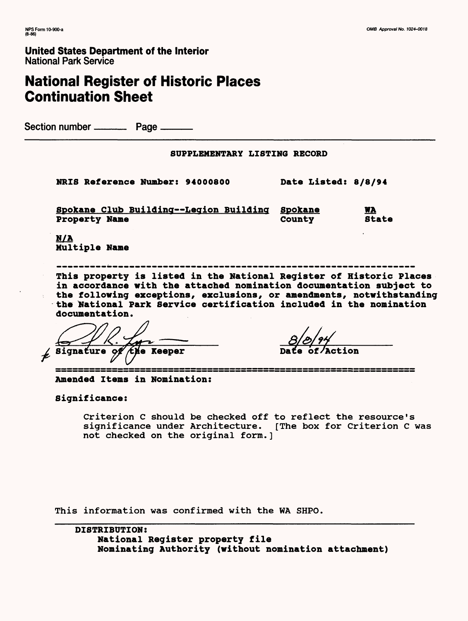## **United States Department of the Interior** National Park Service

# **National Register of Historic Places Continuation Sheet**

Section number ——— Page ———

**SUPPLEMENTARY LISTING RECORD** 

**NRIS Reference Number: 94000800 Date Listed: 8/8/94**

**Spokane Club Building—Legion Building Spokane WA Property Name County State** 

N/A Multiple Name

**This property is listed in the National Register of Historic Places in accordance with the attached nomination documentation subject to the following exceptions, exclusions, or amendments, notwithstanding the National Park Service certification included in the nomination documentation.**

Signature *⁄the Keeper* 

**Da**

**Amended Items in Nomination:** 

**Significance:**

Criterion C should be checked off to reflect the resource's significance under Architecture. [The box for Criterion C was not checked on the original form.]

This information was confirmed with the WA SHPO.

**DISTRIBUTION: National Register property file Nominating Authority (without nomination attachment)**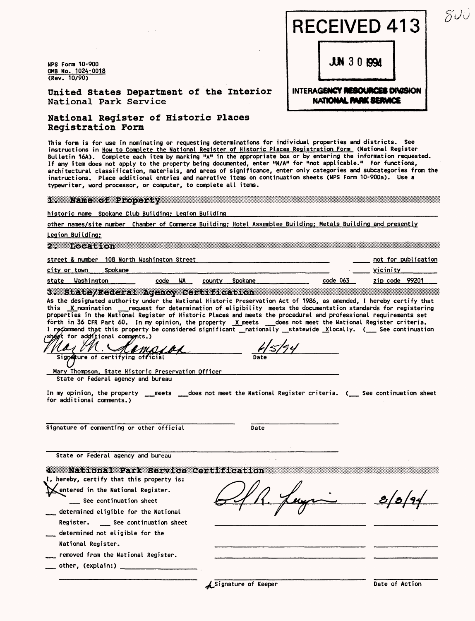NPS Form 10-900 QMS No. 1024-0018 **(Rev.** 10/90)

United States Department of the Interior National Park Service

National Register of Historic Places Registration Form

This form is for use in nominating or requesting determinations for individual properties and districts. See instructions in How to Complete the National Register of Historic Places Registration Form (National Register Bulletin 16A). Complete each item by marking "x" in the appropriate box or by entering the information requested. If any item does not apply to the property being documented, enter "N/A" for "not applicable." For functions, architectural classification, materials, and areas of significance, enter only categories and subcategories from the instructions. Place additional entries and narrative items on continuation sheets (NPS Form 10-900a). Use a typewriter, word processor, or computer, to complete all items.

1. Name of Property

#### historic name Spokane Club Building: Legion Building

other names/site number Chamber of Commerce Building; Hotel Assemblee Building; Metals Building and presently

Legion Building;

2. Location and Control of the Second Second Second Second Second Second Second Second Second Second Second Second Second Second Second Second Second Second Second Second Second Second Second Second Second Second Second Se

code WA county Spokane code 063

street & number 108 North Washington Street

city or town Spokane

state Washington \_\_\_\_\_\_\_ \_\_\_\_ code WA \_\_\_ county Spokane \_\_\_\_\_\_\_\_\_\_\_\_\_\_ code\_063 \_\_\_ zip\_code 99201 \_\_\_\_\_\_\_\_\_\_

3. State/Federal Agency Certification

As the designated authority under the National Historic Preservation Act of 1986, as amended, I hereby certify that<br>this  $X$ -nomination \_\_\_\_request for determination of eligibility meets the documentation standards for re  $\hspace{0.1mm}$  request for determination of eligibility meets the documentation standards for registering properties in the National Register of Historic Places and meets the procedural and professional requirements set forth in 36 CFR Part 60. In my opinion, the property  $\chi$  meets  $\_\_\_\_$ does not meet the National Register criteria. I recommend that this property be considered significant \_nationally \_statewide \_Xlocally. (\_\_ See continuation

shoot for additional comments.)<br>May M. Ann . K I M Signature of certifying official

Mary Thompson. State Historic Preservation Officer

State or Federal agency and bureau

In my opinion, the property <sub>——</sub>meets <sub>——</sub>does not meet the National Register criteria. (\_\_\_ See continuation sheet for additional comments.)

Signature of commenting or other official Date

 $\sim$ 

Date

State or Federal agency and bureau

| a neworld printerious contracts and a     |  |
|-------------------------------------------|--|
| I, hereby, certify that this property is: |  |
| Mentered in the National Register.        |  |
| See continuation sheet                    |  |
| determined eligible for the National      |  |
| Register. ____ See continuation sheet     |  |
| determined not eligible for the           |  |
| National Register.                        |  |
| removed from the National Register.       |  |
| other, (explain:)                         |  |
|                                           |  |

 $J/N$  3  $0$  1994

RECEIVED 413

### INTERAGENCY **RESOURCES DIVISION NATIONAL PARK SERVICE**

**A**Signature of Keeper Date of Action

not for publication

vicinity\_\_\_\_\_\_\_\_\_

 $\mathcal{S}\mathcal{O} \mathcal{O}$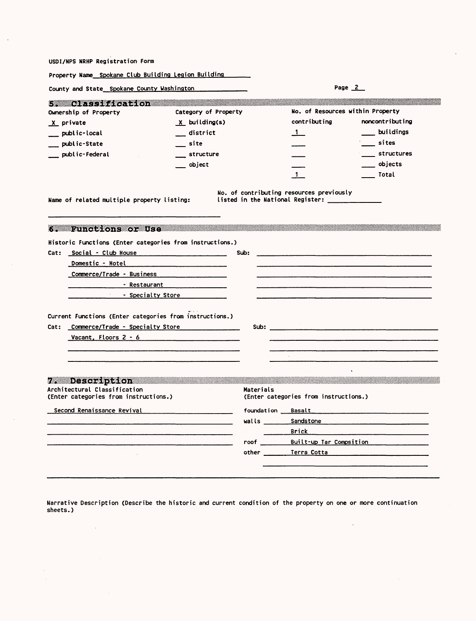USDI/NPS NRHP Registration Form

 $\sim 10$ 

 $\bar{z}$ 

l,

| Property Name Spokane Club Building Legion Building                                                                                                                                                                                                                                                                       |                      |           |                                                                                                                                                                                                                                     |                 |
|---------------------------------------------------------------------------------------------------------------------------------------------------------------------------------------------------------------------------------------------------------------------------------------------------------------------------|----------------------|-----------|-------------------------------------------------------------------------------------------------------------------------------------------------------------------------------------------------------------------------------------|-----------------|
| County and State Spokane County Washington                                                                                                                                                                                                                                                                                |                      |           | Page 2                                                                                                                                                                                                                              |                 |
| <b>A MARKET BEATH AND THE STATE</b>                                                                                                                                                                                                                                                                                       |                      |           |                                                                                                                                                                                                                                     |                 |
| Ownership of Property                                                                                                                                                                                                                                                                                                     | Category of Property |           | No. of Resources within Property                                                                                                                                                                                                    |                 |
| X private                                                                                                                                                                                                                                                                                                                 | X building(s)        |           | contributing                                                                                                                                                                                                                        | noncontributing |
| _ public-local                                                                                                                                                                                                                                                                                                            | district             |           | -1. -                                                                                                                                                                                                                               | buildings       |
| _ public-State                                                                                                                                                                                                                                                                                                            | site                 |           |                                                                                                                                                                                                                                     | __ sites        |
| public-Federal                                                                                                                                                                                                                                                                                                            | structure            |           |                                                                                                                                                                                                                                     | structures      |
|                                                                                                                                                                                                                                                                                                                           | obiect               |           |                                                                                                                                                                                                                                     | ___ objects     |
|                                                                                                                                                                                                                                                                                                                           |                      |           | $\mathbf{1}$                                                                                                                                                                                                                        | Total           |
| 6. Functions or Use and the main of the set of the set of the set of the set of the set of the set of the set o<br>Historic Functions (Enter categories from instructions.)<br>Cat: Social - Club House<br><b>Domestic - Hotel</b><br>Commerce/Trade - Business<br>- Restaurant<br>Specialty Store <b>Specialty</b> Store |                      | Sub:      |                                                                                                                                                                                                                                     |                 |
| Current Functions (Enter categories from instructions.)                                                                                                                                                                                                                                                                   |                      |           |                                                                                                                                                                                                                                     |                 |
| Cat: Commerce/Trade - Specialty Store                                                                                                                                                                                                                                                                                     |                      |           | Sub: with the contract of the contract of the contract of the contract of the contract of the contract of the contract of the contract of the contract of the contract of the contract of the contract of the contract of the       |                 |
| Vacant, Floors 2 - 6                                                                                                                                                                                                                                                                                                      |                      |           |                                                                                                                                                                                                                                     |                 |
|                                                                                                                                                                                                                                                                                                                           |                      |           |                                                                                                                                                                                                                                     |                 |
|                                                                                                                                                                                                                                                                                                                           |                      |           |                                                                                                                                                                                                                                     |                 |
|                                                                                                                                                                                                                                                                                                                           |                      |           |                                                                                                                                                                                                                                     |                 |
| 7. Description and provide a state of the contract of the contract of the contract of the contract of the contract of the contract of the contract of the contract of the contract of the contract of the contract of the cont<br>Architectural Classification<br>(Enter categories from instructions.)                   |                      | Materials | (Enter categories from instructions.)                                                                                                                                                                                               |                 |
| Second Renaissance Revival Manuel Communications                                                                                                                                                                                                                                                                          |                      |           | <b>foundation</b> Basalt <b>Exercise Exercise Service Service Service</b>                                                                                                                                                           |                 |
|                                                                                                                                                                                                                                                                                                                           |                      |           | <b>Walls</b> Sandstone and Sandstone and Sandstone and Sandstone and Sandstone and Sandstone and Sandstone and Sandstone and Sandstone and Sandstone and Sandstone and Sandstone and Sandstone and Sandstone and Sandstone and Sand |                 |
|                                                                                                                                                                                                                                                                                                                           |                      |           | Brick and                                                                                                                                                                                                                           |                 |
|                                                                                                                                                                                                                                                                                                                           |                      |           | roof Built-up Tar Compsition                                                                                                                                                                                                        |                 |
|                                                                                                                                                                                                                                                                                                                           |                      |           | other <u>Terra Cott</u> a                                                                                                                                                                                                           |                 |
|                                                                                                                                                                                                                                                                                                                           |                      |           |                                                                                                                                                                                                                                     |                 |

Narrative Description (Describe the historic and current condition of the property on one or more continuation sheets.)

 $\sim 10^{-11}$ 

 $\sim 10^7$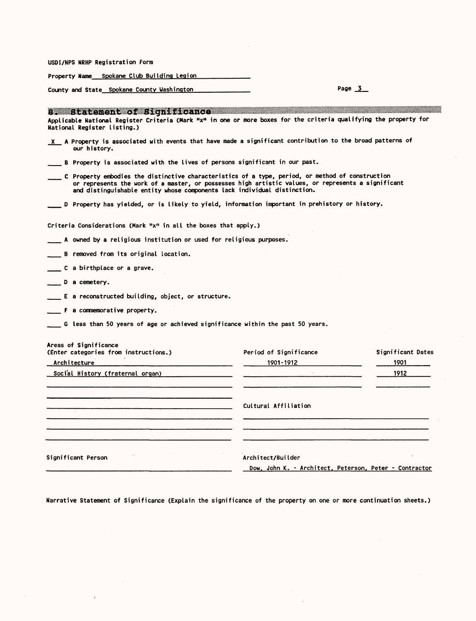USDI/NFS NRHP Registration Form

Property Name Spokane Club Building Legion

County and State Spokane County Washington Page 3 Page 3

 $\sim$ 

 $\epsilon$ 

| s assistatement of Significance and all and sense of the sense of the sense of the sense of the sense of the s<br>Applicable National Register Criteria (Mark "x" in one or more boxes for the criteria qualifying the property for<br>National Register listing.)                 |                                                                                           |                   |
|------------------------------------------------------------------------------------------------------------------------------------------------------------------------------------------------------------------------------------------------------------------------------------|-------------------------------------------------------------------------------------------|-------------------|
| $x$ A Property is associated with events that have made a significant contribution to the broad patterns of<br>our history.                                                                                                                                                        |                                                                                           |                   |
| __ B Property is associated with the lives of persons significant in our past.                                                                                                                                                                                                     |                                                                                           |                   |
| C Property embodies the distinctive characteristics of a type, period, or method of construction<br>or represents the work of a master, or possesses high artistic values, or represents a significant<br>and distinguishable entity whose components lack individual distinction. |                                                                                           |                   |
| __ D Property has yielded, or is likely to yield, information important in prehistory or history.                                                                                                                                                                                  |                                                                                           |                   |
| Criteria Considerations (Mark " $xn$ in all the boxes that apply.)                                                                                                                                                                                                                 |                                                                                           |                   |
| $\mathcal{L}$ . A owned by a religious institution or used for religious purposes.                                                                                                                                                                                                 |                                                                                           |                   |
| B removed from its original location.                                                                                                                                                                                                                                              |                                                                                           |                   |
| C a birthplace or a grave.                                                                                                                                                                                                                                                         |                                                                                           |                   |
| D a cemetery.                                                                                                                                                                                                                                                                      |                                                                                           |                   |
| $\equiv$ E a reconstructed building, object, or structure.                                                                                                                                                                                                                         |                                                                                           |                   |
| <b>F</b> a commemorative property.                                                                                                                                                                                                                                                 |                                                                                           |                   |
| $\blacksquare$ G less than 50 years of age or achieved significance within the past 50 years.                                                                                                                                                                                      |                                                                                           |                   |
| Areas of Significance                                                                                                                                                                                                                                                              |                                                                                           |                   |
| (Enter categories from instructions.)                                                                                                                                                                                                                                              | Period of Significance                                                                    | Significant Dates |
| Architecture                                                                                                                                                                                                                                                                       | $\begin{array}{c c} \hline \textbf{1901-1912} & \textbf{1901-1913} \\ \hline \end{array}$ | 1901              |
| Social History (fraternal organ)                                                                                                                                                                                                                                                   | $\overline{\phantom{a}}$                                                                  | 1912              |
|                                                                                                                                                                                                                                                                                    | Cultural Affiliation                                                                      |                   |
| <u> 1980 - Jan Andrea Stein, amerikan bestein bestein der stein der Stein aus der Stein aus der Stein aus der Stei</u>                                                                                                                                                             |                                                                                           |                   |
|                                                                                                                                                                                                                                                                                    |                                                                                           |                   |
| Significant Person                                                                                                                                                                                                                                                                 | Architect/Builder                                                                         |                   |
|                                                                                                                                                                                                                                                                                    | Dow, John K. - Architect, Peterson, Peter - Contractor                                    |                   |

Narrative Statement of Significance (Explain the significance of the property on one or more continuation sheets.)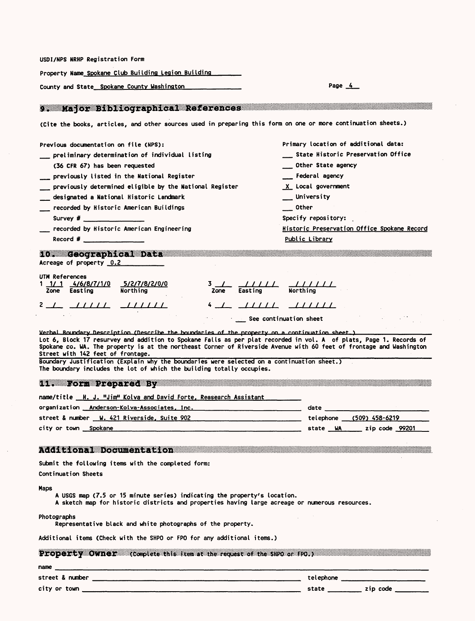| USDI/NPS NRHP Registration Form                                                                                                                                                                                                                                                                                                                                                                                                                                                                                                                                                |                                             |  |  |
|--------------------------------------------------------------------------------------------------------------------------------------------------------------------------------------------------------------------------------------------------------------------------------------------------------------------------------------------------------------------------------------------------------------------------------------------------------------------------------------------------------------------------------------------------------------------------------|---------------------------------------------|--|--|
| Property Name Spokane Club Building Legion Building                                                                                                                                                                                                                                                                                                                                                                                                                                                                                                                            |                                             |  |  |
| County and State_Spokane County Washington                                                                                                                                                                                                                                                                                                                                                                                                                                                                                                                                     | Page $4$                                    |  |  |
| 9. Major Bibliographical References and the communications of the contract of the contract of the contract of                                                                                                                                                                                                                                                                                                                                                                                                                                                                  |                                             |  |  |
| (Cite the books, articles, and other sources used in preparing this form on one or more continuation sheets.)                                                                                                                                                                                                                                                                                                                                                                                                                                                                  |                                             |  |  |
| Previous documentation on file (NPS):                                                                                                                                                                                                                                                                                                                                                                                                                                                                                                                                          | Primary location of additional data:        |  |  |
| preliminary determination of individual listing                                                                                                                                                                                                                                                                                                                                                                                                                                                                                                                                | State Historic Preservation Office          |  |  |
| (36 CFR 67) has been requested                                                                                                                                                                                                                                                                                                                                                                                                                                                                                                                                                 | Other State agency                          |  |  |
| previously listed in the National Register                                                                                                                                                                                                                                                                                                                                                                                                                                                                                                                                     | Federal agency                              |  |  |
| previously determined eligible by the National Register                                                                                                                                                                                                                                                                                                                                                                                                                                                                                                                        | X Local government                          |  |  |
| designated a National Historic Landmark                                                                                                                                                                                                                                                                                                                                                                                                                                                                                                                                        | $\equiv$ University                         |  |  |
| recorded by Historic American Buildings                                                                                                                                                                                                                                                                                                                                                                                                                                                                                                                                        | $\equiv$ Other                              |  |  |
| Survey $\#$ __________________                                                                                                                                                                                                                                                                                                                                                                                                                                                                                                                                                 | Specify repository:                         |  |  |
| recorded by Historic American Engineering                                                                                                                                                                                                                                                                                                                                                                                                                                                                                                                                      | Historic Preservation Office Spokane Record |  |  |
| Record # $\qquad \qquad$ $\qquad \qquad$ $\qquad$ $\qquad$ $\qquad$ $\qquad$ $\qquad$ $\qquad$ $\qquad$ $\qquad$ $\qquad$ $\qquad$ $\qquad$ $\qquad$ $\qquad$ $\qquad$ $\qquad$ $\qquad$ $\qquad$ $\qquad$ $\qquad$ $\qquad$ $\qquad$ $\qquad$ $\qquad$ $\qquad$ $\qquad$ $\qquad$ $\qquad$ $\qquad$ $\qquad$ $\qquad$ $\qquad$ $\qquad$ $\$                                                                                                                                                                                                                                   | Public Library                              |  |  |
| 10. Geographical Data<br>Acreage of property 0.2                                                                                                                                                                                                                                                                                                                                                                                                                                                                                                                               |                                             |  |  |
| UTM References<br>$1$ $1/1$ $4/6/8/7/1/0$<br>5/2/7/8/2/0/0<br>$\frac{3}{2}$ $\frac{1}{2}$ $\frac{1}{2}$ $\frac{1}{2}$ $\frac{1}{2}$ $\frac{1}{2}$ $\frac{1}{2}$ $\frac{1}{2}$ $\frac{1}{2}$ $\frac{1}{2}$ $\frac{1}{2}$ $\frac{1}{2}$ $\frac{1}{2}$ $\frac{1}{2}$ $\frac{1}{2}$ $\frac{1}{2}$ $\frac{1}{2}$ $\frac{1}{2}$ $\frac{1}{2}$ $\frac{1}{2}$ $\frac{1}{2}$ $\frac{1}{2}$<br>Zone Easting<br>Northing                                                                                                                                                                  |                                             |  |  |
| $4 \perp \perp$ $11111$ $111111$<br>2 <u>1 11111</u> 111111<br>See continuation sheet                                                                                                                                                                                                                                                                                                                                                                                                                                                                                          |                                             |  |  |
| Verbal Boundary Description (Describe the boundaries of the property on a continuation sheet)<br>Lot 6, Block 17 resurvey and addition to Spokane Falls as per plat recorded in vol. A of plats, Page 1. Records of<br>Spokane co. WA. The property is at the northeast Corner of Riverside Avenue with 60 feet of frontage and Washington<br>Street with 142 feet of frontage.<br>Boundary Justification (Explain why the boundaries were selected on a continuation sheet.)<br>The boundary includes the lot of which the building totally occupies.<br>11. Form Prepared By |                                             |  |  |
| name/title __H. J. "Jim" Kolva and David Forte, Reasearch Assistant                                                                                                                                                                                                                                                                                                                                                                                                                                                                                                            |                                             |  |  |
| organization <u>Anderson-Kolva-Associates, Inc.</u> __________________________________                                                                                                                                                                                                                                                                                                                                                                                                                                                                                         | date                                        |  |  |
| street & number <u>W. 421 Riverside, Suite 902 _____________________________</u> ____telephone ___(509) 458-6219                                                                                                                                                                                                                                                                                                                                                                                                                                                               |                                             |  |  |
| city or town <u>Spokane</u>                                                                                                                                                                                                                                                                                                                                                                                                                                                                                                                                                    | state WA zip code 99201                     |  |  |
| Additional Documentation and all contracts of the contract of the contract of the contract of the contract of the contract of the contract of the contract of the contract of the contract of the contract of the contract of<br>Submit the following items with the completed form:                                                                                                                                                                                                                                                                                           |                                             |  |  |
| Continuation Sheets                                                                                                                                                                                                                                                                                                                                                                                                                                                                                                                                                            |                                             |  |  |
| Maps<br>A USGS map (7.5 or 15 minute series) indicating the property's location.<br>A sketch map for historic districts and properties having large acreage or numerous resources.                                                                                                                                                                                                                                                                                                                                                                                             |                                             |  |  |
| Photographs<br>Representative black and white photographs of the property.                                                                                                                                                                                                                                                                                                                                                                                                                                                                                                     |                                             |  |  |
| Additional items (Check with the SHPO or FPO for any additional items.)                                                                                                                                                                                                                                                                                                                                                                                                                                                                                                        |                                             |  |  |
| Property Owner (complete this item at the request of the SHPO or FPO.)                                                                                                                                                                                                                                                                                                                                                                                                                                                                                                         |                                             |  |  |
|                                                                                                                                                                                                                                                                                                                                                                                                                                                                                                                                                                                |                                             |  |  |
|                                                                                                                                                                                                                                                                                                                                                                                                                                                                                                                                                                                |                                             |  |  |
|                                                                                                                                                                                                                                                                                                                                                                                                                                                                                                                                                                                |                                             |  |  |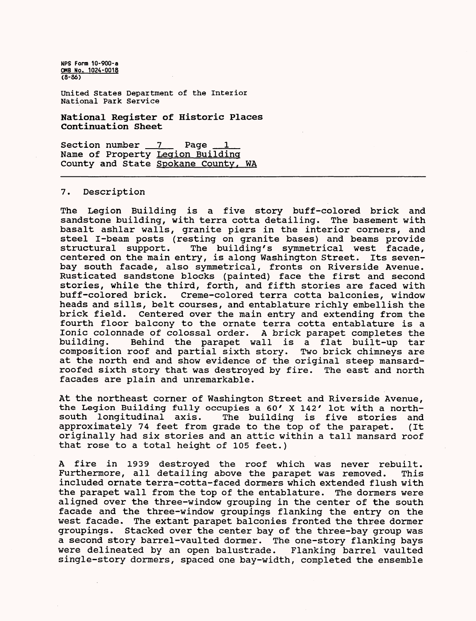United States Department of the Interior National Park Service

**National Register of Historic Places Continuation Sheet**

Section number 7 Page Name of Property Legion Building County and State Spokane County, WA

#### 7. Description

The Legion Building is a five story buff-colored brick and sandstone building, with terra cotta detailing. The basement with basalt ashlar walls, granite piers in the interior corners, and steel I-beam posts (resting on granite bases) and beams provide<br>structural support. The building's symmetrical west facade, The building's symmetrical west facade, centered on the main entry, is along Washington Street. Its sevenbay south facade, also symmetrical, fronts on Riverside Avenue. Rusticated sandstone blocks (painted) face the first and second stories, while the third, forth, and fifth stories are faced with Creme-colored terra cotta balconies, window heads and sills, belt courses, and entablature richly embellish the brick field. Centered over the main entry and extending from the fourth floor balcony to the ornate terra cotta entablature is a Ionic colonnade of colossal order. A brick parapet completes the Behind the parapet wall is a flat built-up tar<br>roof and partial sixth story. Two brick chimneys are composition roof and partial sixth story. at the north end and show evidence of the original steep mansardroofed sixth story that was destroyed by fire. The east and north facades are plain and unremarkable.

At the northeast corner of Washington Street and Riverside Avenue, the Legion Building fully occupies a 60' X 142' lot with a northsouth longitudinal axis. The building is five stories and approximately 74 feet from grade to the top of the parapet. (It originally had six stories and an attic within a tall mansard roof that rose to a total height of 105 feet.)

A fire in 1939 destroyed the roof which was never rebuilt. Furthermore, all detailing above the parapet was removed. This included ornate terra-cotta-faced dormers which extended flush with the parapet wall from the top of the entablature. The dormers were aligned over the three-window grouping in the center of the south facade and the three-window groupings flanking the entry on the west facade. The extant parapet balconies fronted the three dormer groupings. Stacked over the center bay of the three-bay group was a second story barrel-vaulted dormer. The one-story flanking bays were delineated by an open balustrade. Flanking barrel vaulted single-story dormers, spaced one bay-width, completed the ensemble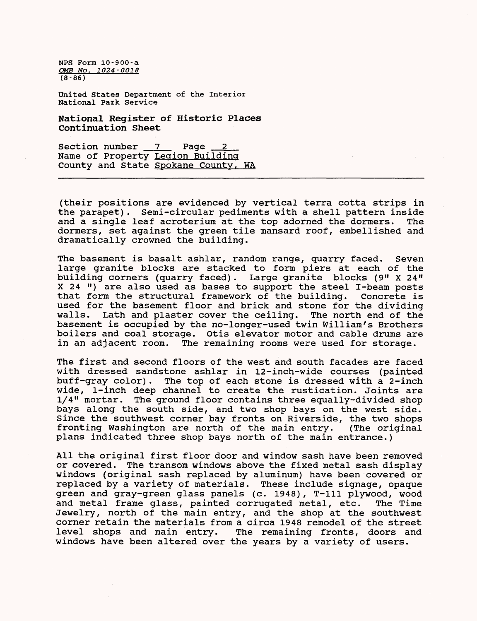United States Department of the Interior National Park Service

National Register of Historic Places Continuation Sheet

Section number 7 Page Name of Property Legion Building County and State Spokane County. WA

(their positions are evidenced by vertical terra cotta strips in the parapet). Semi-circular pediments with a shell pattern inside and a single leaf acroterium at the top adorned the dormers. The dormers, set against the green tile mansard roof, embellished and dramatically crowned the building.

The basement is basalt ashlar, random range, quarry faced. Seven large granite blocks are stacked to form piers at each of the building corners (quarry faced). Large granite blocks (9" X 24" X 24 ") are also used as bases to support the steel I-beam posts that form the structural framework of the building. Concrete is used for the basement floor and brick and stone for the dividing walls. Lath and plaster cover the ceiling. The north end of the basement is occupied by the no-longer-used twin William's Brothers boilers and coal storage. Otis elevator motor and cable drums are in an adjacent room. The remaining rooms were used for storage.

The first and second floors of the west and south facades are faced with dressed sandstone ashlar in 12-inch-wide courses (painted buff-gray color). The top of each stone is dressed with a 2-inch wide, 1-inch deep channel to create the rustication. Joints are 1/4" mortar. The ground floor contains three equally-divided shop bays along the south side, and two shop bays on the west side. Since the southwest corner bay fronts on Riverside, the two shops fronting Washington are north of the main entry. (The original plans indicated three shop bays north of the main entrance.)

All the original first floor door and window sash have been removed or covered. The transom windows above the fixed metal sash display windows (original sash replaced by aluminum) have been covered or replaced by a variety of materials. These include signage, opaque green and gray-green glass panels (c. 1948), T-lll plywood, wood and metal frame glass, painted corrugated metal, etc. The Time Jewelry, north of the main entry, and the shop at the southwest corner retain the materials from a circa 1948 remodel of the street level shops and main entry. The remaining fronts, doors and windows have been altered over the years by a variety of users.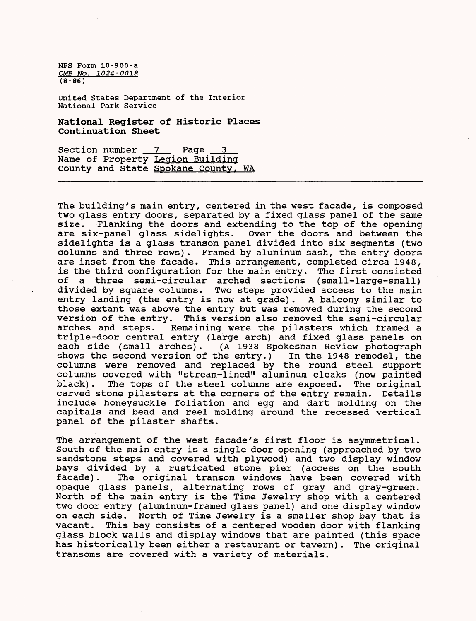United States Department of the Interior National Park Service

National Register of Historic Places Continuation Sheet

Section number 7 Page 3 Name of Property Legion Building County and State Spokane County. WA

The building's main entry, centered in the west facade, is composed two glass entry doors, separated by a fixed glass panel of the same<br>size. Flanking the doors and extending to the top of the opening size. Flanking the doors and extending to the top of the opening<br>are six-panel glass sidelights. Over the doors and between the Over the doors and between the sidelights is a glass transom panel divided into six segments (two columns and three rows). Framed by aluminum sash, the entry doors are inset from the facade. This arrangement, completed circa 1948, is the third configuration for the main entry. The first consisted of a three semi-circular arched sections (small-large-small) divided by square columns. Two steps provided access to the main entry landing (the entry is now at grade). A balcony similar to those extant was above the entry but was removed during the second version of the entry. This version also removed the semi-circular Remaining were the pilasters which framed a triple-door central entry (large arch) and fixed glass panels on each side (small arches). (A 1938 Spokesman Review photograph shows the second version of the entry.) In the 1948 remodel, the columns were removed and replaced by the round steel support columns covered with "stream-lined" aluminum cloaks (now painted black). The tops of the steel columns are exposed. The original carved stone pilasters at the corners of the entry remain. Details include honeysuckle foliation and egg and dart molding on the capitals and bead and reel molding around the recessed vertical panel of the pilaster shafts.

The arrangement of the west facade's first floor is asymmetrical. South of the main entry is a single door opening (approached by two sandstone steps and covered with plywood) and two display window bays divided by a rusticated stone pier (access on the south facade). The original transom windows have been covered with opaque glass panels, alternating rows of gray and gray-green. North of the main entry is the Time Jewelry shop with a centered two door entry (aluminum-framed glass panel) and one display window on each side. North of Time Jewelry is a smaller shop bay that is vacant. This bay consists of a centered wooden door with flanking glass block walls and display windows that are painted (this space has historically been either a restaurant or tavern). The original transoms are covered with a variety of materials.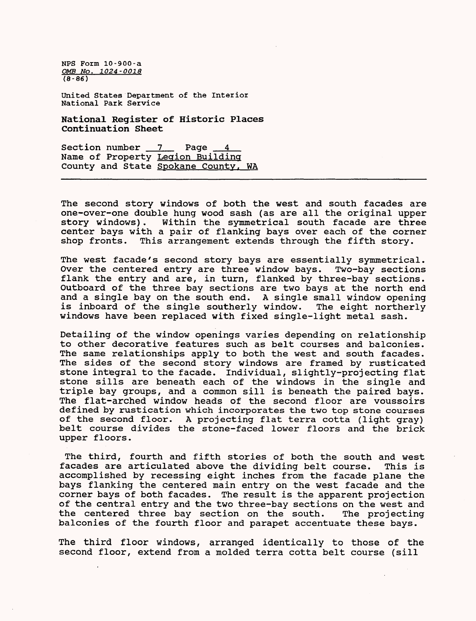United States Department of the Interior National Park Service

National Register of Historic Places Continuation Sheet

Section number 7 Page 4 Name of Property Legion Building County and State Spokane County, WA

The second story windows of both the west and south facades are one-over-one double hung wood sash (as are all the original upper story windows). Within the symmetrical south facade are three center bays with a pair of flanking bays over each of the corner shop fronts. This arrangement extends through the fifth story.

The west facade's second story bays are essentially symmetrical. Over the centered entry are three window bays. Two-bay sections flank the entry and are, in turn, flanked by three-bay sections. Outboard of the three bay sections are two bays at the north end and a single bay on the south end. A single small window opening<br>is inboard of the single southerly window. The eight northerly is inboard of the single southerly window. windows have been replaced with fixed single-light metal sash.

Detailing of the window openings varies depending on relationship to other decorative features such as belt courses and balconies. The same relationships apply to both the west and south facades. The sides of the second story windows are framed by rusticated stone integral to the facade. Individual, slightly-projecting flat stone sills are beneath each of the windows in the single and triple bay groups, and a common sill is beneath the paired bays. The flat-arched window heads of the second floor are voussoirs defined by rustication which incorporates the two top stone courses of the second floor. A projecting flat terra cotta (light gray) belt course divides the stone-faced lower floors and the brick upper floors.

The third, fourth and fifth stories of both the south and west facades are articulated above the dividing belt course. This is accomplished by recessing eight inches from the facade plane the bays flanking the centered main entry on the west facade and the corner bays of both facades. The result is the apparent projection of the central entry and the two three-bay sections on the west and the centered three bay section on the south. The projecting balconies of the fourth floor and parapet accentuate these bays.

The third floor windows, arranged identically to those of the second floor, extend from a molded terra cotta belt course (sill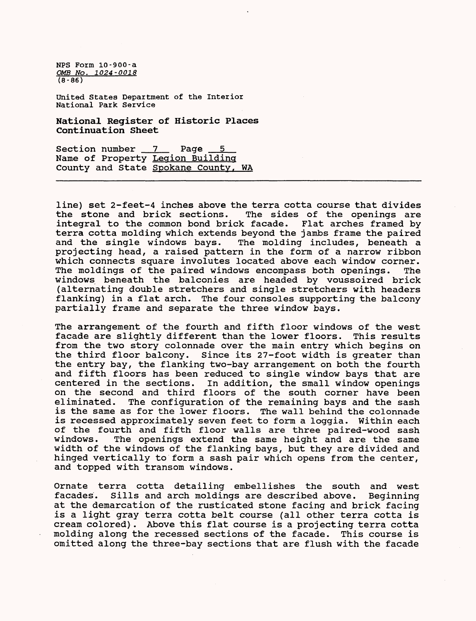United States Department of the Interior National Park Service

National Register of Historic Places Continuation Sheet

Section number 7 Page Name of Property Legion Building County and State Spokane County, WA

line) set 2-feet-4 inches above the terra cotta course that divides<br>the stone and brick sections. The sides of the openings are The sides of the openings are integral to the common bond brick facade. Flat arches framed by terra cotta molding which extends beyond the jambs frame the paired and the single windows bays. The molding includes, beneath a projecting head, a raised pattern in the form of a narrow ribbon which connects square involutes located above each window corner. The moldings of the paired windows encompass both openings. The windows beneath the balconies are headed by voussoired brick (alternating double stretchers and single stretchers with headers flanking) in a flat arch. The four consoles supporting the balcony partially frame and separate the three window bays.

The arrangement of the fourth and fifth floor windows of the west facade are slightly different than the lower floors. This results from the two story colonnade over the main entry which begins on the third floor balcony. Since its 27-foot width is greater than the entry bay, the flanking two-bay arrangement on both the fourth and fifth floors has been reduced to single window bays that are centered in the sections. In addition, the small window openings on the second and third floors of the south corner have been eliminated. The configuration of the remaining bays and the sash is the same as for the lower floors. The wall behind the colonnade is recessed approximately seven feet to form a loggia. Within each of the fourth and fifth floor walls are three paired-wood sash windows. The openings extend the same height and are the same width of the windows of the flanking bays, but they are divided and hinged vertically to form a sash pair which opens from the center, and topped with transom windows.

Ornate terra cotta detailing embellishes the south and west facades. Sills and arch moldings are described above. Beginning at the demarcation of the rusticated stone facing and brick facing is a light gray terra cotta belt course (all other terra cotta is cream colored). Above this flat course is a projecting terra cotta molding along the recessed sections of the facade. This course is omitted along the three-bay sections that are flush with the facade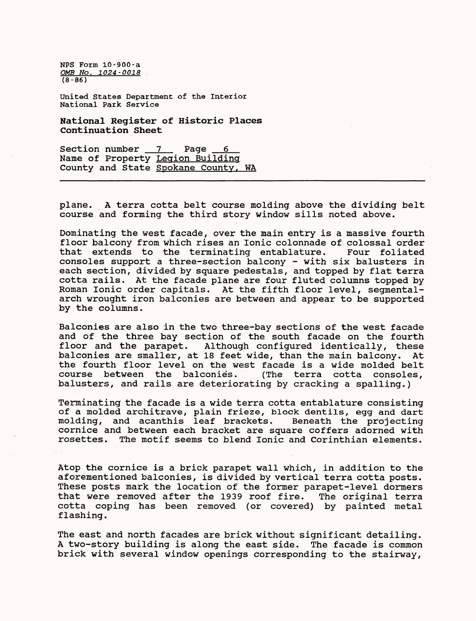United States Department of the Interior National Park Service

National Register of Historic Places Continuation Sheet

Section number  $7$  Page  $6$ Name of Property Legion Building County and State Spokane County, WA

plane. A terra cotta belt course molding above the dividing belt course and forming the third story window sills noted above.

Dominating the west facade, over the main entry is a massive fourth floor balcony from which rises an Ionic colonnade of colossal order<br>that extends to the terminating entablature. Four foliated that extends to the terminating entablature. consoles support a three-section balcony - with six balusters in each section, divided by square pedestals, and topped by flat terra cotta rails. At the facade plane are four fluted columns topped by Roman Ionic order capitals. At the fifth floor level, segmentalarch wrought iron balconies are between and appear to be supported by the columns.

Balconies are also in the two three-bay sections of the west facade and of the three bay section of the south facade on the fourth floor and the parapet. Although configured identically, these balconies are smaller, at 18 feet wide, than the main balcony. At the fourth floor level on the west facade is a wide molded belt course between the balconies. (The terra cotta consoles, balusters, and rails are deteriorating by cracking a spalling.)

Terminating the facade is a wide terra cotta entablature consisting of a molded architrave, plain frieze, block dentils, egg and dart molding, and acanthis leaf brackets. Beneath the projecting cornice and between each bracket are square coffers adorned with rosettes. The motif seems to blend Ionic and Corinthian elements.

Atop the cornice is a brick parapet wall which, in addition to the aforementioned balconies, is divided by vertical terra cotta posts. These posts mark the location of the former parapet-level dormers that were removed after the 1939 roof fire. The original terra cotta coping has been removed (or covered) by painted metal flashing.

The east and north facades are brick without significant detailing. A two-story building is along the east side. The facade is common brick with several window openings corresponding to the stairway,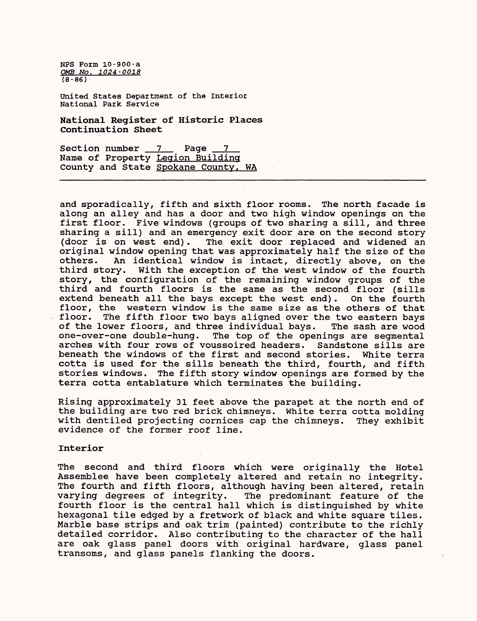United States Department of the Interior National Park Service

National Register of Historic Places Continuation Sheet

Section number 7 Page 7 Name of Property Legion Building County and State Spokane County, WA

and sporadically, fifth and sixth floor rooms. The north facade is along an alley and has a door and two high window openings on the first floor. Five windows (groups of two sharing a sill, and three sharing a sill) and an emergency exit door are on the second story<br>(door is on west end). The exit door replaced and widened an The exit door replaced and widened an original window opening that was approximately half the size of the others. An identical window is intact, directly above, on the third story. With the exception of the west window of the fourth With the exception of the west window of the fourth story, the configuration of the remaining window groups of the third and fourth floors is the same as the second floor (sills extend beneath all the bays except the west end). On the fourth extend beneath all the bays except the west end). floor, the western window is the same size as the others of that<br>floor. The fifth floor two bays aligned over the two eastern bays The fifth floor two bays aligned over the two eastern bays of the lower floors, and three individual bays. The sash are wood<br>one-over-one double-hung. The top of the openings are segmental The top of the openings are segmental arches with four rows of voussoired headers. Sandstone sills are beneath the windows of the first and second stories. White terra cotta is used for the sills beneath the third, fourth, and fifth stories windows. The fifth story window openings are formed by the terra cotta entablature which terminates the building.

Rising approximately 31 feet above the parapet at the north end of the building are two red brick chimneys. White terra cotta molding with dentiled projecting cornices cap the chimneys. They exhibit evidence of the former roof line.

#### Interior

The second and third floors which were originally the Hotel Assemblee have been completely altered and retain no integrity. The fourth and fifth floors, although having been altered, retain varying degrees of integrity. The predominant feature of the fourth floor is the central hall which is distinguished by white hexagonal tile edged by a fretwork of black and white square tiles. Marble base strips and oak trim (painted) contribute to the richly detailed corridor. Also contributing to the character of the hall are oak glass panel doors with original hardware, glass panel transoms, and glass panels flanking the doors.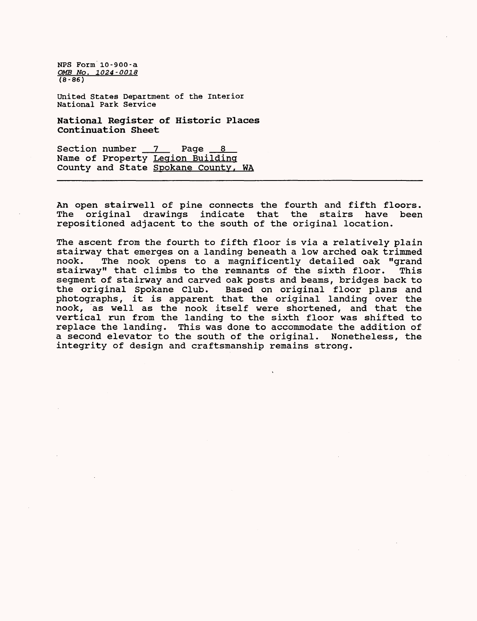United States Department of the Interior National Park Service

National Register of Historic Places Continuation Sheet

Section number 7 Page 8 Name of Property Legion Building County and State Spokane County. WA

An open stairwell of pine connects the fourth and fifth floors. The original drawings indicate that the stairs have been repositioned adjacent to the south of the original location.

The ascent from the fourth to fifth floor is via a relatively plain stairway that emerges on a landing beneath a low arched oak trimmed nook. The nook opens to a magnificently detailed oak "grand stairway" that climbs to the remnants of the sixth floor. segment of stairway and carved oak posts and beams, bridges back to the original Spokane Club. Based on original floor plans and photographs, it is apparent that the original landing over the nook, as well as the nook itself were shortened, and that the vertical run from the landing to the sixth floor was shifted to replace the landing. This was done to accommodate the addition of a second elevator to the south of the original. Nonetheless, the integrity of design and craftsmanship remains strong.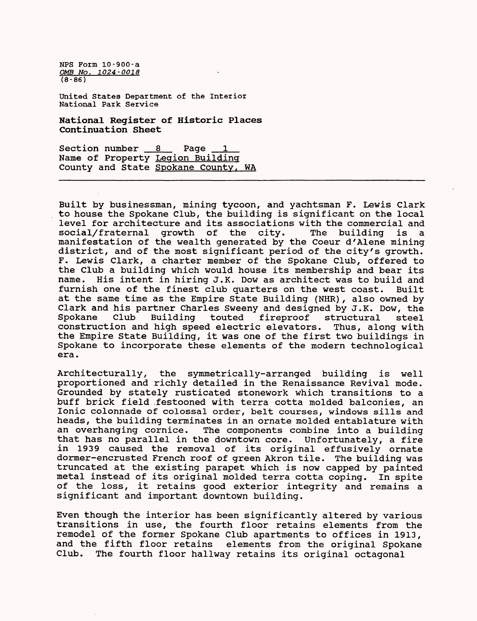United States Department of the Interior National Park Service

National Register of Historic Places Continuation Sheet

Section number 8 Page Name of Property Legion Building County and State Spokane County. WA

Built by businessman, mining tycoon, and yachtsman F. Lewis Clark to house the Spokane Club, the building is significant on the local level for architecture and its associations with the commercial and<br>social/fraternal growth of the city. The building is a social/fraternal growth of the city. The building is a manifestation of the wealth generated by the Coeur d'Alene mining district, and of the most significant period of the city's growth. F. Lewis Clark, a charter member of the Spokane Club, offered to the Club a building which would house its membership and bear its name. His intent in hiring J.K. Dow as architect was to build and furnish one of the finest club quarters on the west coast. Built at the same time as the Empire State Building (NHR) , also owned by Clark and his partner Charles Sweeny and designed by J.K. Dow, the Spokane Club Building touted fireproof structural steel structural construction and high speed electric elevators. Thus, along with the Empire State Building, it was one of the first two buildings in Spokane to incorporate these elements of the modern technological era.

Architecturally, the symmetrically-arranged building is well proportioned and richly detailed in the Renaissance Revival mode. Grounded by stately rusticated stonework which transitions to a buff brick field .festooned with terra cotta molded balconies, an Ionic colonnade of colossal order, belt courses, windows sills and heads, the building terminates in an ornate molded entablature with an overhanging cornice. The components combine into a building that has no parallel in the downtown core. Unfortunately, a fire in 1939 caused the removal of its original effusively ornate dormer-encrusted French roof of green Akron tile. The building was truncated at the existing parapet which is now capped by painted metal instead of its original molded terra cotta coping. In spite of the loss, it retains good exterior integrity and remains a significant and important downtown building.

Even though the interior has been significantly altered by various transitions in use, the fourth floor retains elements from the remodel of the former Spokane Club apartments to offices in 1913, and the fifth floor retains elements from the original Spokane<br>Club. The fourth floor hallway retains its original octagonal The fourth floor hallway retains its original octagonal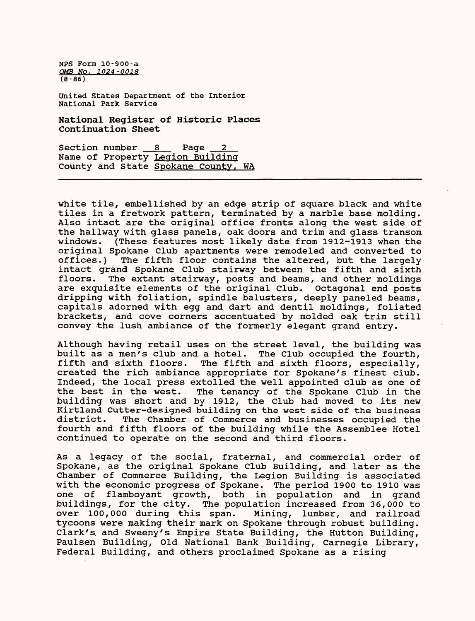United States Department of the Interior National Park Service

National Register of Historic Places Continuation Sheet

Section number 8 Page Name of Property Legion Building County and State Spokane County, WA

white tile, embellished by an edge strip of square black and white tiles in a fretwork pattern, terminated by a marble base molding. Also intact are the original office fronts along the west side of the hallway with glass panels, oak doors and trim and glass transom (These features most likely date from 1912-1913 when the original Spokane Club apartments were remodeled and converted to The fifth floor contains the altered, but the largely intact grand Spokane Club stairway between the fifth and sixth floors. The extant stairway, posts and beams, and other moldings are exquisite elements of the original Club. Octagonal end posts dripping with foliation, spindle balusters, deeply paneled beams, capitals adorned with egg and dart and dentil moldings, foliated brackets, and cove corners accentuated by molded oak trim still convey the lush ambiance of the formerly elegant grand entry.

Although having retail uses on the street level, the building was built as a men's club and a hotel. The Club occupied the fourth, fifth and sixth floors. The fifth and sixth floors, especially, The fifth and sixth floors, especially, created the rich ambiance appropriate for Spokane's finest club. Indeed, the local press extolled the well appointed club as one of the best in the west. The tenancy of the Spokane Club in the building was short and by 1912, the Club had moved to its new Kirtland Cutter-designed building on the west side of the business district. The Chamber of Commerce and businesses occupied the fourth and fifth floors of the building while the Assemblee Hotel continued to operate on the second and third floors.

As a legacy of the social, fraternal, and commercial order of Spokane, as the original Spokane Club Building, and later as the Chamber of Commerce Building, the Legion Building is associated with the economic progress of Spokane. The period 1900 to 1910 was one of flamboyant growth, both in population and in grand buildings, for the city. The population increased from 36,000 to over 100,000 during this span. Mining, lumber, and railroad tycoons were making their mark on Spokane through robust building. Clark's. and Sweeny's Empire State Building, the Button Building, Paulsen Building, Old National Bank Building, Carnegie Library, Federal Building, and others proclaimed Spokane as a rising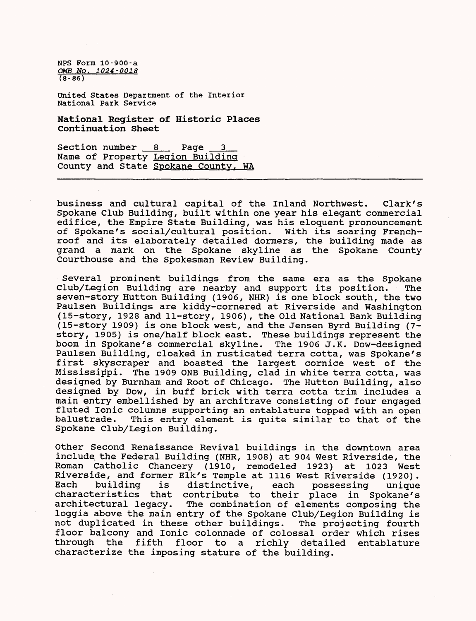United States Department of the Interior National Park Service

National Register of Historic Places Continuation Sheet

Section number 8 Page Name of Property Legion Building County and State Spokane County, WA

business and cultural capital of the Inland Northwest. Clark's Spokane Club Building, built within one year his elegant commercial edifice, the Empire State Building, was his eloquent pronouncement of Spokane's social/cultural position. With its soaring Frenchroof and its elaborately detailed dormers, the building made as grand a mark on the Spokane skyline as the Spokane County Courthouse and the Spokesman Review Building.

Several prominent buildings from the same era as the Spokane Club/Legion Building are nearby and support its position. The seven-story Hutton Building (1906, NHR) is one block south, the two Paulsen Buildings are kiddy-cornered at Riverside and Washington (15-story, 1928 and 11-story, 1906) , the Old National Bank Building (15-story 1909) is one block west, and the Jensen Byrd Building (7 story, 1905) is one/half block east. These buildings represent the<br>boom in Spokane's commercial skyline. The 1906 J.K. Dow-designed boom in Spokane's commercial skyline. Paulsen Building, cloaked in rusticated terra cotta, was Spokane's first skyscraper and boasted the largest cornice west of the Mississippi. The 1909 ONB Building, clad in white terra cotta, was designed by Burnham and Root of Chicago. The Hutton Building, also designed by Dow, in buff brick with terra cotta trim includes a main entry embellished by an architrave consisting of four engaged fluted Ionic columns supporting an entablature topped with an open<br>balustrade. This entry element is quite similar to that of the This entry element is quite similar to that of the Spokane Club/Legion Building.

Other Second Renaissance Revival buildings in the downtown area include the Federal Building (NHR, 1908) at 904 West Riverside, the Roman Catholic Chancery (1910, remodeled 1923) at 1023 West Riverside, and former Elk's Temple at 1116 West Riverside (1920).<br>Each building is distinctive, each possessing unique distinctive, each possessing unique characteristics that contribute to their place in Spokane's The combination of elements composing the loggia above the main entry of the Spokane Club/Legion Building is not duplicated in these other buildings. The projecting fourth floor balcony and Ionic colonnade of colossal order which rises through the fifth floor to a richly detailed entablature characterize the imposing stature of the building.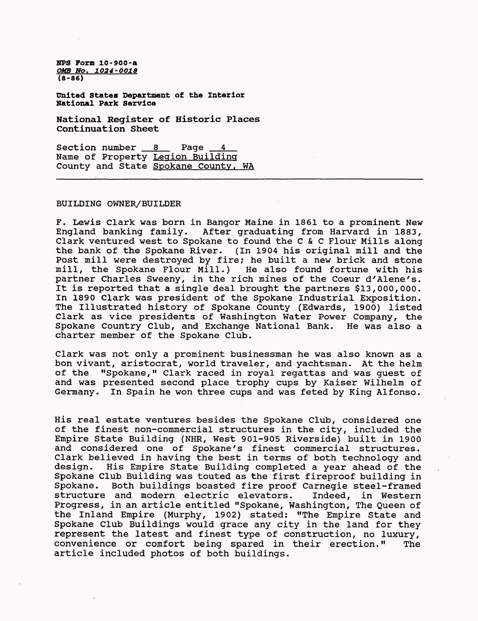**united States Department of the Interior National Park Service**

**National Register of Historic Places Continuation Sheet**

Section number 8 Page Name of Property Legion Building County and State Spokane County, WA

#### BUILDING OWNER/BUILDER

F. Lewis Clark was born in Bangor Maine in 1861 to a prominent New England banking family. After graduating from Harvard in 1883, Clark ventured west to Spokane to found the C & C Flour Mills along the bank of the Spokane River. (In 1904 his original mill and the Post mill were destroyed by fire; he built a new brick and stone mill, the Spokane Flour Mill.) He also found fortune with his partner Charles Sweeny, in the rich mines of the Coeur d'Alene's. It is reported that a single deal brought the partners \$13,000,000. In 1890 Clark was president of the Spokane Industrial Exposition. The Illustrated history of Spokane County (Edwards, 1900) listed Clark as vice presidents of Washington Water Power Company, the Spokane Country Club, and Exchange National Bank. He was also a charter member of the Spokane Club.

Clark was not only a prominent businessman he was also known as a bon vivant, aristocrat, world traveler, and yachtsman. At the helm of the "Spokane," Clark raced in royal regattas and was guest of and was presented second place trophy cups by Kaiser Wilhelm of Germany. In Spain he won three cups and was feted by King Alfonso.

His real estate ventures besides the Spokane Club, considered one of the finest non-commercial structures in the city, included the Empire State Building (NHR, West 901-905 Riverside) built in 1900 and considered one of Spokane's finest commercial structures. Clark believed in having the best in terms of both technology and design. His Empire State Building completed a year ahead of the His Empire State Building completed a year ahead of the Spokane Club Building was touted as the first fireproof building in Spokane. Both buildings boasted fire proof Carnegie steel-framed<br>structure and modern electric elevators. Indeed, in Western structure and modern electric elevators. Progress, in an article entitled "Spokane, Washington, The Queen of the Inland Empire (Murphy, 1902) stated: "The Empire State and Spokane Club Buildings would grace any city in the land for they represent the latest and finest type of construction, no luxury, convenience or comfort being spared in their erection." The article included photos of both buildings.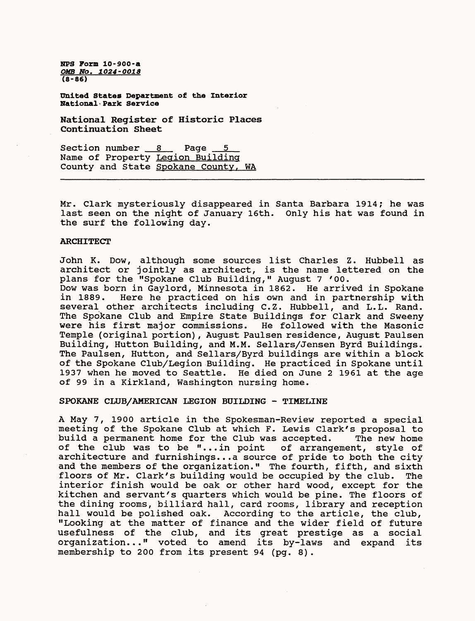**united States Department of the Interior National•Park Service**

**National Register of Historic Places Continuation Sheet**

Section number  $8$  Page Name of Property Legion Building County and State Spokane County. WA

Mr. Clark mysteriously disappeared in Santa Barbara 1914; he was last seen on the night of January 16th. Only his hat was found in the surf the following day.

#### **ARCHITECT**

John K. Dow, although some sources list Charles Z. Hubbell as architect or jointly as architect, is the name lettered on the plans for the "Spokane Club Building," August 7 '00.

Dow was born in Gaylord, Minnesota in 1862. He arrived in Spokane Here he practiced on his own and in partnership with several other architects including C.Z. Hubbell, and L.L. Rand. The Spokane Club and Empire State Buildings for Clark and Sweeny<br>were his first major commissions. He followed with the Masonic were his first major commissions. Temple (original portion), August Paulsen residence, August Paulsen Building, Hutton Building, and M.M. Sellars/Jensen Byrd Buildings. The Paulsen, Hutton, and Sellars/Byrd buildings are within a block of the Spokane Club/Legion Building. He practiced in Spokane until 1937 when he moved to Seattle. He died on June 2 1961 at the age of 99 in a Kirkland, Washington nursing home.

#### SPOKANE CLUB/AMERICAN LEGION BUILDING - TIMELINE

A May 7, 1900 article in the Spokesman-Review reported a special meeting of the Spokane Club at which F. Lewis Clark's proposal to<br>build a permanent home for the Club was accepted. The new home build a permanent home for the Club was accepted. The new home<br>of the club was to be "...in point of arrangement, style of of the club was to be "...in point architecture and furnishings...a source of pride to both the city and the members of the organization." The fourth, fifth, and sixth floors of Mr. Clark's building would be occupied by the club. The interior finish would be oak or other hard wood, except for the kitchen and servant's quarters which would be pine. The floors of the dining rooms, billiard hall, card rooms, library and reception hall would be polished oak. According to the article, the club, "Looking at the matter of finance and the wider field of future usefulness of the club, and its great prestige as a social organization..." voted to amend its by-laws and expand its membership to 200 from its present 94 (pg. 8).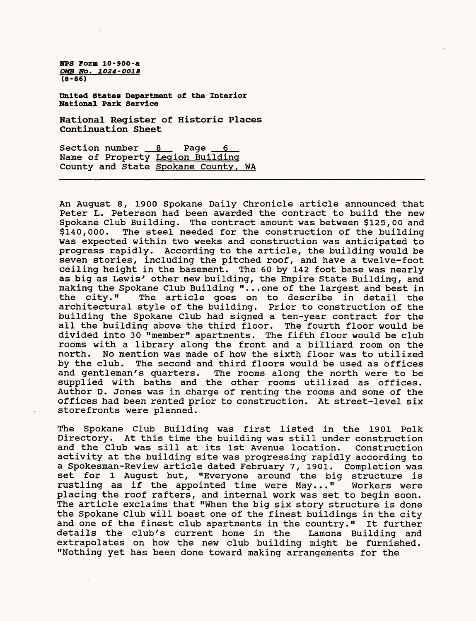**United States Department of the Interior National Park Service**

**National Register of Historic Places Continuation Sheet**

Section number  $8$  Page  $6$ Name of Property Legion Building County and State Spokane County, WA

An August 8, 1900 Spokane Daily Chronicle article announced that Peter L. Peterson had been awarded the contract to build the new Spokane Club Building. The contract amount was between \$125,00 and \$140,000. The steel needed for the construction of the building was expected within two weeks and construction was anticipated to progress rapidly. According to the article, the building would be seven stories, including the pitched roof, and have a twelve-foot ceiling height in the basement. The 60 by 142 foot base was nearly as big as Lewis' other new building, the Empire State Building, and making the Spokane Club Building "...one of the largest and best in the city." The article goes on to describe in detail the architectural style of the building. Prior to construction of the building the Spokane Club had signed a ten-year contract for the all the building above the third floor. The fourth floor would be divided into 30 "member" apartments. The fifth floor would be club rooms with a library along the front and a billiard room on the north. No mention was made of how the sixth floor was to utilized by the club. The second and third floors would be used as offices and gentleman's quarters. The rooms along the north were to be supplied with baths and the other rooms utilized as offices. Author D. Jones was in charge of renting the rooms and some of the offices had been rented prior to construction. At street-level six storefronts were planned.

The Spokane Club Building was first listed in the 1901 Polk Directory. At this time the building was still under construction and the Club was sill at its 1st Avenue location. Construction activity at the building site was progressing rapidly according to a Spokesman-Review article dated February 7, 1901. Completion was set for 1 August but, "Everyone around the big structure is rustling as if the appointed time were May..." Workers were placing the roof rafters, and internal work was set to begin soon. The article exclaims that "When the big six story structure is done the Spokane Club will boast one of the finest buildings in the city and one of the finest club apartments in the country." It further details the club's current home in the Lamona Building and extrapolates on how the new club building might be furnished. "Nothing yet has been done toward making arrangements for the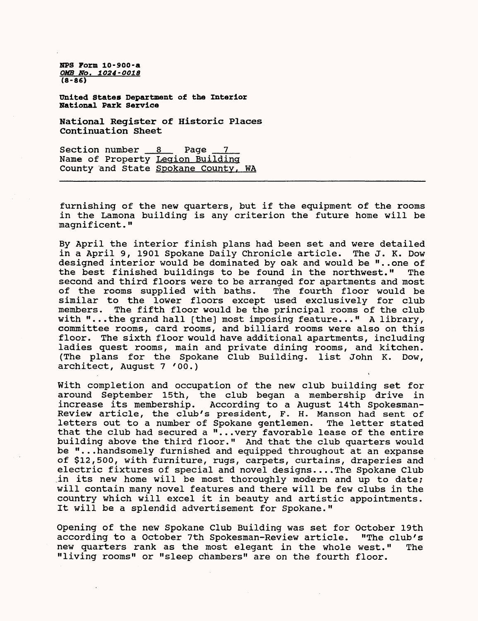**United States Department of the Interior National Park Service**

**National Register of Historic Places Continuation Sheet**

Section number  $8 \times 12$  Page  $7$ Name of Property Legion Building County and State Spokane County, WA

furnishing of the new quarters, but if the equipment of the rooms in the Lamona building is any criterion the future home will be magnificent."

By April the interior finish plans had been set and were detailed in a April 9, 1901 Spokane Daily Chronicle article. The J. K. Dow designed interior would be dominated by oak and would be "..one of<br>the best finished buildings to be found in the northwest." The the best finished buildings to be found in the northwest." second and third floors were to be arranged for apartments and most<br>of the rooms supplied with baths. The fourth floor would be of the rooms supplied with baths. similar to the lower floors except used exclusively for club members. The fifth floor would be the principal rooms of the club The fifth floor would be the principal rooms of the club with "...the grand hall [the] most imposing feature..." A library, committee rooms, card rooms, and billiard rooms were also on this floor. The sixth floor would have additional apartments, including ladies quest rooms, main and private dining rooms, and kitchen. (The plans for the Spokane Club Building, list John K. Dow, architect, August 7 '00.)

With completion and occupation of the new club building set for around September 15th, the club began a membership drive in increase its membership. According to a August 14th Spokesman-Review article, the club's president, F. H. Manson had sent of letters out to a number of Spokane gentlemen. The letter stated that the club had secured a "...very favorable lease of the entire building above the third floor." And that the club quarters would be "...handsomely furnished and equipped throughout at an expanse of \$12,500, with furniture, rugs, carpets, curtains, draperies and electric fixtures of special and novel designs....The Spokane Club .in its new home will be most thoroughly modern and up to date; will contain many novel features and there will be few clubs in the country which will excel it in beauty and artistic appointments. It will be a splendid advertisement for Spokane."

Opening of the new Spokane Club Building was set for October 19th according to a October 7th Spokesman-Review article. "The club's new quarters rank as the most elegant in the whole west." The "living rooms" or "sleep chambers" are on the fourth floor.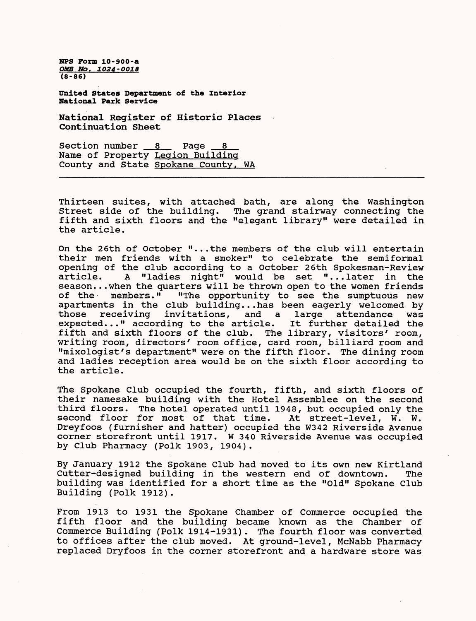**ZIPS Form 10-900-a OMB No. 1024-OO18 (8-86)**

**United States Department of the Interior National Park Service**

**National Register of Historic Places Continuation Sheet**

Section number  $8$  Page  $8$ Name of Property Legion Building County and State Spokane County, WA

Thirteen suites, with attached bath, are along the Washington Street side of the building. The grand stairway connecting the fifth and sixth floors and the "elegant library" were detailed in the article.

On the 26th of October "...the members of the club will entertain their men friends with a smoker" to celebrate the semiformal opening of the club according to a October 26th Spokesman-Review article. A "ladies night" would be set "...later in the season...when the quarters will be thrown open to the women friends of the members." "The opportunity to see the sumptuous new "The opportunity to see the sumptuous new apartments in the club building...has been eagerly welcomed by<br>those receiving invitations, and a large attendance was receiving invitations, and a large attendance was<br>d..." according to the article. It further detailed the  $expected...$ " according to the article. fifth and sixth floors of the club. The library, visitors' room, writing room, directors' room office, card room, billiard room and "mixologist's department" were on the fifth floor. The dining room and ladies reception area would be on the sixth floor according to the article.

The Spokane Club occupied the fourth, fifth, and sixth floors of their namesake building with the Hotel Assemblee on the second third floors. The hotel operated until 1948, but occupied only the second floor for most of that time. At street-level, W. W. Dreyfoos (furnisher and hatter) occupied the W342 Riverside Avenue corner storefront until 1917. W 340 Riverside Avenue was occupied by Club Pharmacy (Polk 1903, 1904).

By January 1912 the Spokane Club had moved to its own new Kirtland Cutter-designed building in the western end of downtown. The building was identified for a short time as the "Old" Spokane Club Building (Polk 1912).

From 1913 to 1931 the Spokane Chamber of Commerce occupied the fifth floor and the building became known as the Chamber of Commerce Building (Polk 1914-1931). The fourth floor was converted to offices after the club moved. At ground-level, McNabb Pharmacy replaced Dryfoos in the corner storefront and a hardware store was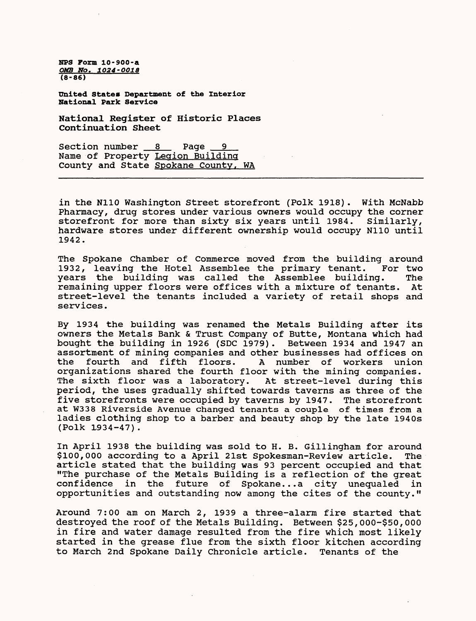**United States Department of the Interior National Park Service**

**National Register of Historic Places Continuation Sheet**

Section number 8 Page Name of Property Legion Building County and State Spokane County, WA

in the N110 Washington Street storefront (Polk 1918). With McNabb Pharmacy, drug stores under various owners would occupy the corner storefront for more than sixty six years until 1984. Similarly, hardware stores under different ownership would occupy N110 until 1942.

The Spokane Chamber of Commerce moved from the building around<br>1932, leaving the Hotel Assemblee the primary tenant. For two 1932, leaving the Hotel Assemblee the primary tenant. years the building was called the Assemblee building. The remaining upper floors were offices with a mixture of tenants. At remaining upper floors were offices with a mixture of tenants. street-level the tenants included a variety of retail shops and services.

By 1934 the building was renamed the Metals Building after its owners the Metals Bank & Trust Company of Butte, Montana which had bought the building in 1926 (SDC 1979). Between 1934 and 1947 an assortment of mining companies and other businesses had offices on<br>the fourth and fifth floors. A number of workers union A number of workers union organizations shared the fourth floor with the mining companies. The sixth floor was a laboratory. At street-level during this period, the uses gradually shifted towards taverns as three of the five storefronts were occupied by taverns by 1947. The storefront at W338 Riverside Avenue changed tenants a couple of times from a ladies clothing shop to a barber and beauty shop by the late 1940s (Polk 1934-47).

In April 1938 the building was sold to H. B. Gillingham for around \$100,000 according to a April 21st Spokesman-Review article. The article stated that the building was 93 percent occupied and that "The purchase of the Metals Building is a reflection of the great confidence in the future of Spokane...a city unequaled in opportunities and outstanding now among the cites of the county."

Around 7:00 am on March 2, 1939 a three-alarm fire started that destroyed the roof of the Metals Building. Between \$25,000-\$50,000 in fire and water damage resulted from the fire which most likely started in the grease flue from the sixth floor kitchen according to March 2nd Spokane Daily Chronicle article. Tenants of the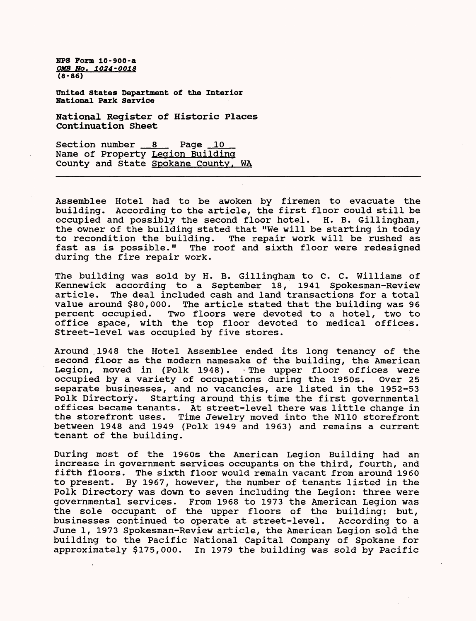**milted States Department of the Interior National Park Service**

**National Register of Historic Places Continuation Sheet**

Section number 8 Page 10 Name of Property Legion Building County and State Spokane County, WA

Assemblee Hotel had to be awoken by firemen to evacuate the building. According to the article, the first floor could still be occupied and possibly the second floor hotel. H. B. Gillingham, the owner of the building stated that "We will be starting in today to recondition the building. The repair work will be rushed as fast as is possible." The roof and sixth floor were redesigned during the fire repair work.

The building was sold by H. B. Gillingham to C. C. Williams of Kennewick according to a September 18, 1941 Spokesman-Review article. The deal included cash and land transactions for a total value around \$80,000. The article stated that the building was 96 percent occupied. Two floors were devoted to a hotel, two to office space, with the top floor devoted to medical offices. Street-level was occupied by five stores.

Around .1948 the Hotel Assemblee ended its long tenancy of the second floor as the modern namesake of the building, the American Legion, moved in (Polk 1948). • The upper floor offices were occupied by a variety of occupations during the 1950s. Over 25 separate businesses, and no vacancies, are listed in the 1952-53 Polk Directory. Starting around this time the first governmental offices became tenants. At street-level there was little change in the storefront uses. Time Jewelry moved into the N110 storefront between 1948 and 1949 (Polk 1949 and 1963) and remains a current tenant of the building.

During most of the 1960s the American Legion Building had an increase in government services occupants on the third, fourth, and fifth floors. The sixth floor would remain vacant from around 1960 to present. By 1967, however, the number of tenants listed in the Polk Directory was down to seven including the Legion: three were governmental services. From 1968 to 1973 the American Legion was the sole occupant of the upper floors of the building: but,<br>businesses continued to operate at street-level. According to a businesses continued to operate at street-level. June 1, 1973 Spokesman-Review article, the American Legion sold the building to the Pacific National Capital Company of Spokane for approximately \$175,000. In 1979 the building was sold by Pacific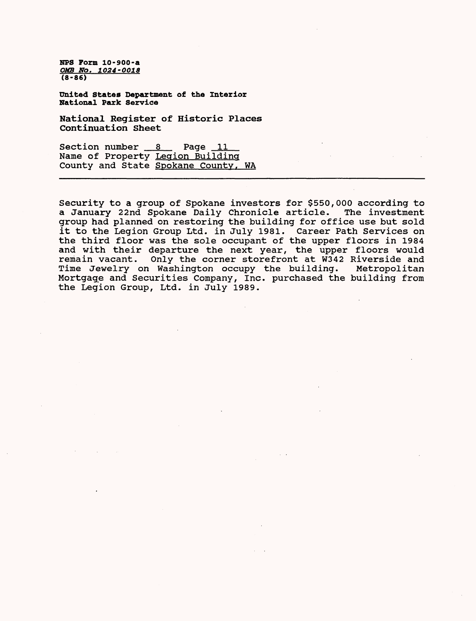**United States Department of the Interior National Park Service**

**National Register of Historic Places Continuation Sheet**

Section number 8 Page 11 Name of Property Legion Building County and State Spokane County, WA

Security to a group of Spokane investors for \$550,000 according to a January 22nd Spokane Daily Chronicle article. The investment a January 22nd Spokane Daily Chronicle article. group had planned on restoring the building for office use but sold it to the Legion Group Ltd. in July 1981. Career Path Services on the third floor was the sole occupant of the upper floors in 1984 and with their departure the next year, the upper floors would remain vacant. Only the corner storefront at W342 Riverside and Time Jewelry on Washington occupy the building. Metropolitan Mortgage and Securities Company, Inc. purchased the building from the Legion Group, Ltd. in July 1989.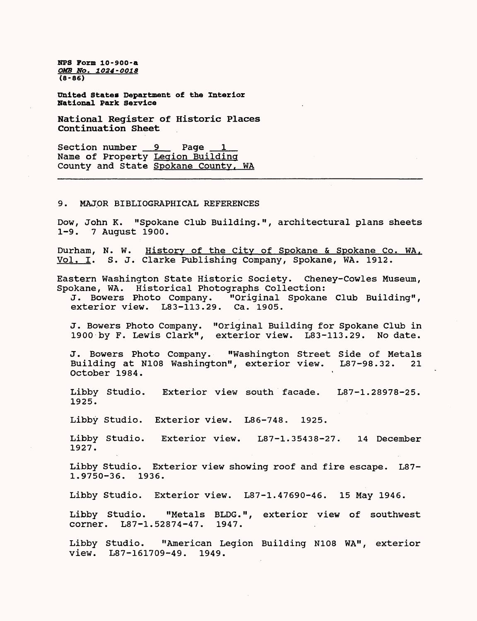**United States Department of the Interior National Park Service**

**National Register of Historic Places Continuation Sheet**

Section number 9 Page Name of Property Legion Building County and State Spokane County, WA

#### 9. MAJOR BIBLIOGRAPHICAL REFERENCES

Dow, John K. "Spokane Club Building.", architectural plans sheets 1-9. 7 August 1900.

Durham, N. W. History of the City of Spokane & Spokane Co. WA. Vol. I. S. J. Clarke Publishing Company, Spokane, WA. 1912.

Eastern Washington State Historic Society. Cheney-Cowles Museum, Spokane, WA. Historical Photographs Collection:

J. Bowers Photo Company. "Original Spokane Club Building", exterior view. L83-113.29. Ca. 1905.

J. Bowers Photo Company. "Original Building for Spokane Club in 1900 by F. Lewis Clark", exterior view. L83-113.29. No date.

J. Bowers Photo Company. "Washington Street Side of Metals Building at N108 Washington", exterior view. L87-98.32. 21 October 1984.

Libby Studio. Exterior view south facade. L87-1.28978-25. 1925.

Libby Studio. Exterior view. L86-748. 1925.

Libby Studio. Exterior view. L87-1.35438-27. 14 December 1927.

Libby Studio. Exterior view showing roof and fire escape. L87- 1.9750-36. 1936.

Libby Studio. Exterior view. L87-1.47690-46. 15 May 1946.

Libby Studio. "Metals BLDG.", exterior view of southwest corner. L87-1.52874-47. 1947.

Libby Studio. "American Legion Building N108 WA", exterior view. L87-161709-49. 1949.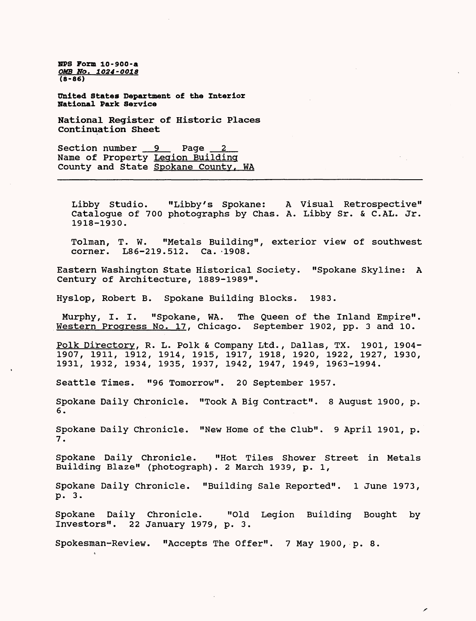NFS Form 10-900-a *OMB NO. 1O24-OO18*  **(8-86)**

United States Department of the Interior National Park Service

National Register of Historic Places Continuation Sheet

Section number 9 Page 2 Name of Property Legion Building County and State Spokane County, WA

Libby Studio. "Libby's Spokane: A Visual Retrospective" Catalogue of 700 photographs by Chas. A. Libby Sr. & C.AL. Jr. 1918-1930.

Tolman, T. W. "Metals Building", exterior view of southwest corner. L86-219.512. Ca. -1908.

Eastern Washington State Historical Society. "Spokane Skyline: A Century of Architecture, 1889-1989".

Hyslop, Robert B. Spokane Building Blocks. 1983.

Murphy, I. I. "Spokane, WA. The Queen of the Inland Empire". Western Progress No. 17, Chicago. September 1902, pp. 3 and 10.

Polk Directory, R. L. Polk & Company Ltd., Dallas, TX. 1901, 1904-1907, 1911, 1912, 1914, 1915, 1917, 1918, 1920, 1922, 1927, 1930, 1931, 1932, 1934, 1935, 1937, 1942, 1947, 1949, 1963-1994.

Seattle Times. "96 Tomorrow". 20 September 1957.

Spokane Daily Chronicle. "Took A Big Contract". 8 August 1900, p. 6.

Spokane Daily Chronicle. "New Home of the Club". 9 April 1901, p. 7.

Spokane Daily Chronicle. "Hot Tiles Shower Street in Metals Building Blaze" (photograph). 2 March 1939, p. 1,

Spokane Daily Chronicle. "Building Sale Reported". 1 June 1973, p. 3.

Spokane Daily Chronicle. "Old Legion Building Bought by Investors". 22 January 1979, p. 3.

 $\overline{r}$ 

Spokesman-Review. "Accepts The Offer". 7 May 1900, p. 8.